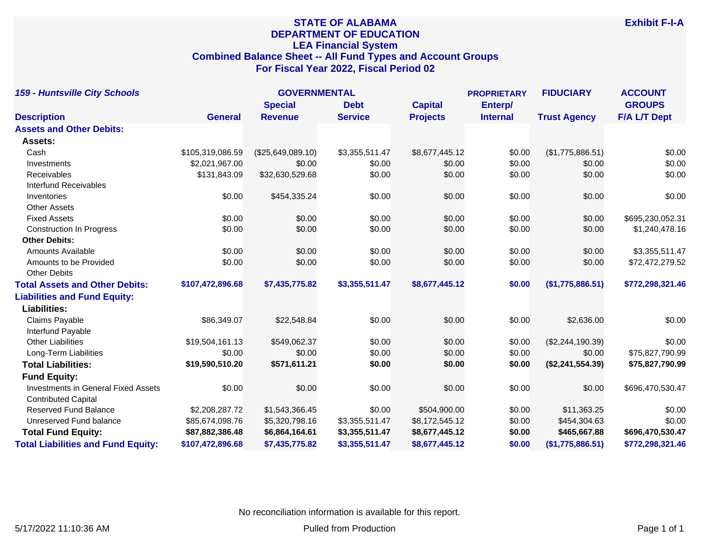# **STATE OF ALABAMA DEPARTMENT OF EDUCATION LEA Financial System Combined Balance Sheet -- All Fund Types and Account Groups For Fiscal Year 2022, Fiscal Period 02**

| <b>159 - Huntsville City Schools</b>       |                  | <b>GOVERNMENTAL</b> |                |                 | <b>PROPRIETARY</b> | <b>FIDUCIARY</b>    | <b>ACCOUNT</b><br><b>GROUPS</b> |
|--------------------------------------------|------------------|---------------------|----------------|-----------------|--------------------|---------------------|---------------------------------|
|                                            |                  | <b>Special</b>      | <b>Debt</b>    | <b>Capital</b>  | Enterp/            |                     |                                 |
| <b>Description</b>                         | <b>General</b>   | <b>Revenue</b>      | <b>Service</b> | <b>Projects</b> | <b>Internal</b>    | <b>Trust Agency</b> | <b>F/A L/T Dept</b>             |
| <b>Assets and Other Debits:</b>            |                  |                     |                |                 |                    |                     |                                 |
| Assets:                                    |                  |                     |                |                 |                    |                     |                                 |
| Cash                                       | \$105,319,086.59 | (\$25,649,089.10)   | \$3,355,511.47 | \$8,677,445.12  | \$0.00             | (\$1,775,886.51)    | \$0.00                          |
| Investments                                | \$2,021,967.00   | \$0.00              | \$0.00         | \$0.00          | \$0.00             | \$0.00              | \$0.00                          |
| Receivables                                | \$131,843.09     | \$32,630,529.68     | \$0.00         | \$0.00          | \$0.00             | \$0.00              | \$0.00                          |
| <b>Interfund Receivables</b>               |                  |                     |                |                 |                    |                     |                                 |
| Inventories                                | \$0.00           | \$454,335.24        | \$0.00         | \$0.00          | \$0.00             | \$0.00              | \$0.00                          |
| <b>Other Assets</b>                        |                  |                     |                |                 |                    |                     |                                 |
| <b>Fixed Assets</b>                        | \$0.00           | \$0.00              | \$0.00         | \$0.00          | \$0.00             | \$0.00              | \$695,230,052.31                |
| <b>Construction In Progress</b>            | \$0.00           | \$0.00              | \$0.00         | \$0.00          | \$0.00             | \$0.00              | \$1,240,478.16                  |
| <b>Other Debits:</b>                       |                  |                     |                |                 |                    |                     |                                 |
| <b>Amounts Available</b>                   | \$0.00           | \$0.00              | \$0.00         | \$0.00          | \$0.00             | \$0.00              | \$3,355,511.47                  |
| Amounts to be Provided                     | \$0.00           | \$0.00              | \$0.00         | \$0.00          | \$0.00             | \$0.00              | \$72,472,279.52                 |
| <b>Other Debits</b>                        |                  |                     |                |                 |                    |                     |                                 |
| <b>Total Assets and Other Debits:</b>      | \$107,472,896.68 | \$7,435,775.82      | \$3,355,511.47 | \$8,677,445.12  | \$0.00             | (\$1,775,886.51)    | \$772,298,321.46                |
| <b>Liabilities and Fund Equity:</b>        |                  |                     |                |                 |                    |                     |                                 |
| <b>Liabilities:</b>                        |                  |                     |                |                 |                    |                     |                                 |
| Claims Payable                             | \$86,349.07      | \$22,548.84         | \$0.00         | \$0.00          | \$0.00             | \$2,636.00          | \$0.00                          |
| Interfund Payable                          |                  |                     |                |                 |                    |                     |                                 |
| <b>Other Liabilities</b>                   | \$19,504,161.13  | \$549,062.37        | \$0.00         | \$0.00          | \$0.00             | (\$2,244,190.39)    | \$0.00                          |
| Long-Term Liabilities                      | \$0.00           | \$0.00              | \$0.00         | \$0.00          | \$0.00             | \$0.00              | \$75,827,790.99                 |
| <b>Total Liabilities:</b>                  | \$19,590,510.20  | \$571,611.21        | \$0.00         | \$0.00          | \$0.00             | (\$2,241,554.39)    | \$75,827,790.99                 |
| <b>Fund Equity:</b>                        |                  |                     |                |                 |                    |                     |                                 |
| <b>Investments in General Fixed Assets</b> | \$0.00           | \$0.00              | \$0.00         | \$0.00          | \$0.00             | \$0.00              | \$696,470,530.47                |
| <b>Contributed Capital</b>                 |                  |                     |                |                 |                    |                     |                                 |
| <b>Reserved Fund Balance</b>               | \$2,208,287.72   | \$1,543,366.45      | \$0.00         | \$504,900.00    | \$0.00             | \$11,363.25         | \$0.00                          |
| Unreserved Fund balance                    | \$85,674,098.76  | \$5,320,798.16      | \$3,355,511.47 | \$8,172,545.12  | \$0.00             | \$454,304.63        | \$0.00                          |
| <b>Total Fund Equity:</b>                  | \$87,882,386.48  | \$6,864,164.61      | \$3,355,511.47 | \$8,677,445.12  | \$0.00             | \$465,667.88        | \$696,470,530.47                |
| <b>Total Liabilities and Fund Equity:</b>  | \$107,472,896.68 | \$7,435,775.82      | \$3,355,511.47 | \$8,677,445.12  | \$0.00             | (\$1,775,886.51)    | \$772,298,321.46                |

No reconciliation information is available for this report.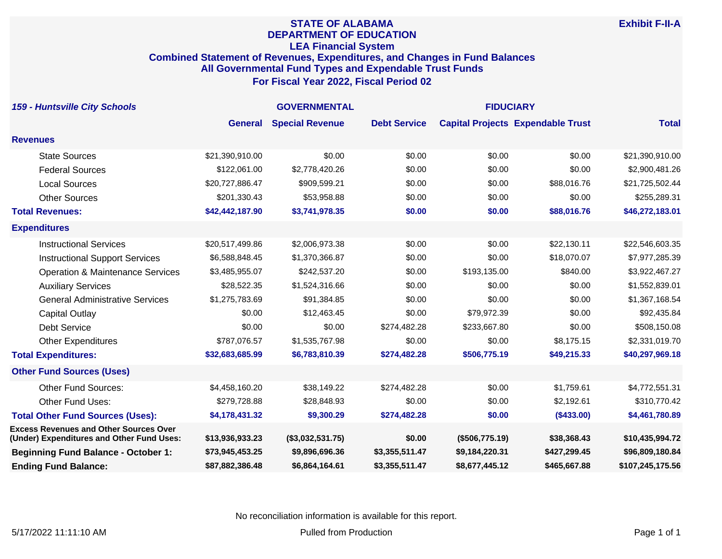### **STATE OF ALABAMA DEPARTMENT OF EDUCATION LEA Financial System Combined Statement of Revenues, Expenditures, and Changes in Fund Balances All Governmental Fund Types and Expendable Trust Funds For Fiscal Year 2022, Fiscal Period 02**

| <b>159 - Huntsville City Schools</b>                                                       | <b>GOVERNMENTAL</b> |                        |                     | <b>FIDUCIARY</b> |                                          |                  |
|--------------------------------------------------------------------------------------------|---------------------|------------------------|---------------------|------------------|------------------------------------------|------------------|
|                                                                                            | <b>General</b>      | <b>Special Revenue</b> | <b>Debt Service</b> |                  | <b>Capital Projects Expendable Trust</b> | <b>Total</b>     |
| <b>Revenues</b>                                                                            |                     |                        |                     |                  |                                          |                  |
| <b>State Sources</b>                                                                       | \$21,390,910.00     | \$0.00                 | \$0.00              | \$0.00           | \$0.00                                   | \$21,390,910.00  |
| <b>Federal Sources</b>                                                                     | \$122,061.00        | \$2,778,420.26         | \$0.00              | \$0.00           | \$0.00                                   | \$2,900,481.26   |
| <b>Local Sources</b>                                                                       | \$20,727,886.47     | \$909,599.21           | \$0.00              | \$0.00           | \$88,016.76                              | \$21,725,502.44  |
| <b>Other Sources</b>                                                                       | \$201,330.43        | \$53,958.88            | \$0.00              | \$0.00           | \$0.00                                   | \$255,289.31     |
| <b>Total Revenues:</b>                                                                     | \$42,442,187.90     | \$3,741,978.35         | \$0.00              | \$0.00           | \$88,016.76                              | \$46,272,183.01  |
| <b>Expenditures</b>                                                                        |                     |                        |                     |                  |                                          |                  |
| <b>Instructional Services</b>                                                              | \$20,517,499.86     | \$2,006,973.38         | \$0.00              | \$0.00           | \$22,130.11                              | \$22,546,603.35  |
| <b>Instructional Support Services</b>                                                      | \$6,588,848.45      | \$1,370,366.87         | \$0.00              | \$0.00           | \$18,070.07                              | \$7,977,285.39   |
| <b>Operation &amp; Maintenance Services</b>                                                | \$3,485,955.07      | \$242,537.20           | \$0.00              | \$193,135.00     | \$840.00                                 | \$3,922,467.27   |
| <b>Auxiliary Services</b>                                                                  | \$28,522.35         | \$1,524,316.66         | \$0.00              | \$0.00           | \$0.00                                   | \$1,552,839.01   |
| <b>General Administrative Services</b>                                                     | \$1,275,783.69      | \$91,384.85            | \$0.00              | \$0.00           | \$0.00                                   | \$1,367,168.54   |
| <b>Capital Outlay</b>                                                                      | \$0.00              | \$12,463.45            | \$0.00              | \$79,972.39      | \$0.00                                   | \$92,435.84      |
| Debt Service                                                                               | \$0.00              | \$0.00                 | \$274,482.28        | \$233,667.80     | \$0.00                                   | \$508,150.08     |
| <b>Other Expenditures</b>                                                                  | \$787,076.57        | \$1,535,767.98         | \$0.00              | \$0.00           | \$8,175.15                               | \$2,331,019.70   |
| <b>Total Expenditures:</b>                                                                 | \$32,683,685.99     | \$6,783,810.39         | \$274,482.28        | \$506,775.19     | \$49,215.33                              | \$40,297,969.18  |
| <b>Other Fund Sources (Uses)</b>                                                           |                     |                        |                     |                  |                                          |                  |
| <b>Other Fund Sources:</b>                                                                 | \$4,458,160.20      | \$38,149.22            | \$274,482.28        | \$0.00           | \$1,759.61                               | \$4,772,551.31   |
| Other Fund Uses:                                                                           | \$279,728.88        | \$28,848.93            | \$0.00              | \$0.00           | \$2,192.61                               | \$310,770.42     |
| <b>Total Other Fund Sources (Uses):</b>                                                    | \$4,178,431.32      | \$9,300.29             | \$274,482.28        | \$0.00           | (\$433.00)                               | \$4,461,780.89   |
| <b>Excess Revenues and Other Sources Over</b><br>(Under) Expenditures and Other Fund Uses: | \$13,936,933.23     | (\$3,032,531.75)       | \$0.00              | (\$506,775.19)   | \$38,368.43                              | \$10,435,994.72  |
| <b>Beginning Fund Balance - October 1:</b>                                                 | \$73,945,453.25     | \$9,896,696.36         | \$3,355,511.47      | \$9,184,220.31   | \$427,299.45                             | \$96,809,180.84  |
| <b>Ending Fund Balance:</b>                                                                | \$87,882,386.48     | \$6,864,164.61         | \$3,355,511.47      | \$8,677,445.12   | \$465,667.88                             | \$107,245,175.56 |

No reconciliation information is available for this report.

**Exhibit F-II-A**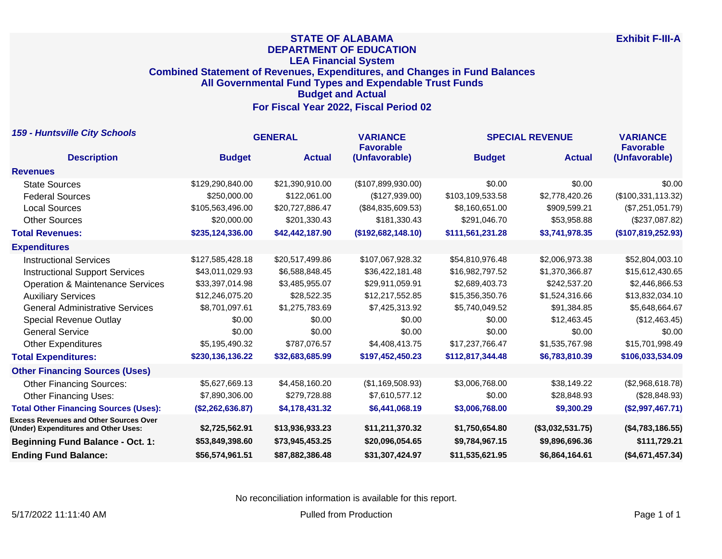## **STATE OF ALABAMA DEPARTMENT OF EDUCATION LEA Financial System Combined Statement of Revenues, Expenditures, and Changes in Fund Balances All Governmental Fund Types and Expendable Trust Funds Budget and Actual For Fiscal Year 2022, Fiscal Period 02**

| <b>159 - Huntsville City Schools</b>                                                  | <b>GENERAL</b>   |                 | <b>VARIANCE</b><br><b>Favorable</b> | <b>SPECIAL REVENUE</b> |                  | <b>VARIANCE</b><br><b>Favorable</b> |
|---------------------------------------------------------------------------------------|------------------|-----------------|-------------------------------------|------------------------|------------------|-------------------------------------|
| <b>Description</b>                                                                    | <b>Budget</b>    | <b>Actual</b>   | (Unfavorable)                       | <b>Budget</b>          | <b>Actual</b>    | (Unfavorable)                       |
| <b>Revenues</b>                                                                       |                  |                 |                                     |                        |                  |                                     |
| <b>State Sources</b>                                                                  | \$129,290,840.00 | \$21,390,910.00 | (\$107,899,930.00)                  | \$0.00                 | \$0.00           | \$0.00                              |
| <b>Federal Sources</b>                                                                | \$250,000.00     | \$122,061.00    | (\$127,939.00)                      | \$103,109,533.58       | \$2,778,420.26   | (\$100,331,113.32)                  |
| <b>Local Sources</b>                                                                  | \$105,563,496.00 | \$20,727,886.47 | (\$84,835,609.53)                   | \$8,160,651.00         | \$909,599.21     | (\$7,251,051.79)                    |
| <b>Other Sources</b>                                                                  | \$20,000.00      | \$201,330.43    | \$181,330.43                        | \$291,046.70           | \$53,958.88      | (\$237,087.82)                      |
| <b>Total Revenues:</b>                                                                | \$235,124,336.00 | \$42,442,187.90 | (\$192,682,148.10)                  | \$111,561,231.28       | \$3,741,978.35   | (\$107,819,252.93)                  |
| <b>Expenditures</b>                                                                   |                  |                 |                                     |                        |                  |                                     |
| <b>Instructional Services</b>                                                         | \$127,585,428.18 | \$20,517,499.86 | \$107,067,928.32                    | \$54,810,976.48        | \$2,006,973.38   | \$52,804,003.10                     |
| <b>Instructional Support Services</b>                                                 | \$43,011,029.93  | \$6,588,848.45  | \$36,422,181.48                     | \$16,982,797.52        | \$1,370,366.87   | \$15,612,430.65                     |
| <b>Operation &amp; Maintenance Services</b>                                           | \$33,397,014.98  | \$3,485,955.07  | \$29,911,059.91                     | \$2,689,403.73         | \$242,537.20     | \$2,446,866.53                      |
| <b>Auxiliary Services</b>                                                             | \$12,246,075.20  | \$28,522.35     | \$12,217,552.85                     | \$15,356,350.76        | \$1,524,316.66   | \$13,832,034.10                     |
| <b>General Administrative Services</b>                                                | \$8,701,097.61   | \$1,275,783.69  | \$7,425,313.92                      | \$5,740,049.52         | \$91,384.85      | \$5,648,664.67                      |
| <b>Special Revenue Outlay</b>                                                         | \$0.00           | \$0.00          | \$0.00                              | \$0.00                 | \$12,463.45      | (\$12,463.45)                       |
| <b>General Service</b>                                                                | \$0.00           | \$0.00          | \$0.00                              | \$0.00                 | \$0.00           | \$0.00                              |
| <b>Other Expenditures</b>                                                             | \$5,195,490.32   | \$787,076.57    | \$4,408,413.75                      | \$17,237,766.47        | \$1,535,767.98   | \$15,701,998.49                     |
| <b>Total Expenditures:</b>                                                            | \$230,136,136.22 | \$32,683,685.99 | \$197,452,450.23                    | \$112,817,344.48       | \$6,783,810.39   | \$106,033,534.09                    |
| <b>Other Financing Sources (Uses)</b>                                                 |                  |                 |                                     |                        |                  |                                     |
| <b>Other Financing Sources:</b>                                                       | \$5,627,669.13   | \$4,458,160.20  | (\$1,169,508.93)                    | \$3,006,768.00         | \$38,149.22      | (\$2,968,618.78)                    |
| <b>Other Financing Uses:</b>                                                          | \$7,890,306.00   | \$279,728.88    | \$7,610,577.12                      | \$0.00                 | \$28,848.93      | (\$28,848.93)                       |
| <b>Total Other Financing Sources (Uses):</b>                                          | (\$2,262,636.87) | \$4,178,431.32  | \$6,441,068.19                      | \$3,006,768.00         | \$9,300.29       | (\$2,997,467.71)                    |
| <b>Excess Revenues and Other Sources Over</b><br>(Under) Expenditures and Other Uses: | \$2,725,562.91   | \$13,936,933.23 | \$11,211,370.32                     | \$1,750,654.80         | (\$3,032,531.75) | (\$4,783,186.55)                    |
| <b>Beginning Fund Balance - Oct. 1:</b>                                               | \$53,849,398.60  | \$73,945,453.25 | \$20,096,054.65                     | \$9,784,967.15         | \$9,896,696.36   | \$111,729.21                        |
| <b>Ending Fund Balance:</b>                                                           | \$56,574,961.51  | \$87,882,386.48 | \$31,307,424.97                     | \$11,535,621.95        | \$6,864,164.61   | (\$4,671,457.34)                    |

No reconciliation information is available for this report.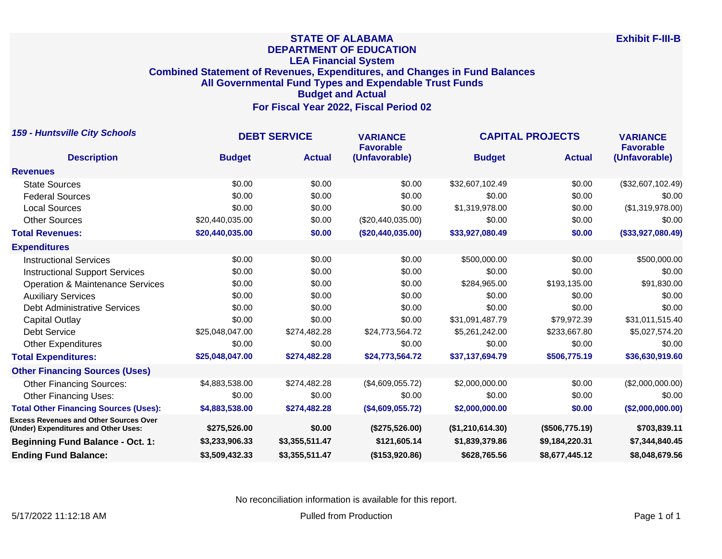## **STATE OF ALABAMA DEPARTMENT OF EDUCATION LEA Financial System Combined Statement of Revenues, Expenditures, and Changes in Fund Balances All Governmental Fund Types and Expendable Trust Funds Budget and Actual For Fiscal Year 2022, Fiscal Period 02**

| <b>159 - Huntsville City Schools</b>                                                  | <b>DEBT SERVICE</b> |                | <b>VARIANCE</b><br><b>Favorable</b> | <b>CAPITAL PROJECTS</b> |                | <b>VARIANCE</b><br><b>Favorable</b> |
|---------------------------------------------------------------------------------------|---------------------|----------------|-------------------------------------|-------------------------|----------------|-------------------------------------|
| <b>Description</b>                                                                    | <b>Budget</b>       | <b>Actual</b>  | (Unfavorable)                       | <b>Budget</b>           | <b>Actual</b>  | (Unfavorable)                       |
| <b>Revenues</b>                                                                       |                     |                |                                     |                         |                |                                     |
| <b>State Sources</b>                                                                  | \$0.00              | \$0.00         | \$0.00                              | \$32,607,102.49         | \$0.00         | (\$32,607,102.49)                   |
| <b>Federal Sources</b>                                                                | \$0.00              | \$0.00         | \$0.00                              | \$0.00                  | \$0.00         | \$0.00                              |
| <b>Local Sources</b>                                                                  | \$0.00              | \$0.00         | \$0.00                              | \$1,319,978.00          | \$0.00         | (\$1,319,978.00)                    |
| <b>Other Sources</b>                                                                  | \$20,440,035.00     | \$0.00         | (\$20,440,035.00)                   | \$0.00                  | \$0.00         | \$0.00                              |
| <b>Total Revenues:</b>                                                                | \$20,440,035.00     | \$0.00         | (\$20,440,035.00)                   | \$33,927,080.49         | \$0.00         | (\$33,927,080.49)                   |
| <b>Expenditures</b>                                                                   |                     |                |                                     |                         |                |                                     |
| <b>Instructional Services</b>                                                         | \$0.00              | \$0.00         | \$0.00                              | \$500,000.00            | \$0.00         | \$500,000.00                        |
| <b>Instructional Support Services</b>                                                 | \$0.00              | \$0.00         | \$0.00                              | \$0.00                  | \$0.00         | \$0.00                              |
| <b>Operation &amp; Maintenance Services</b>                                           | \$0.00              | \$0.00         | \$0.00                              | \$284,965.00            | \$193,135.00   | \$91,830.00                         |
| <b>Auxiliary Services</b>                                                             | \$0.00              | \$0.00         | \$0.00                              | \$0.00                  | \$0.00         | \$0.00                              |
| <b>Debt Administrative Services</b>                                                   | \$0.00              | \$0.00         | \$0.00                              | \$0.00                  | \$0.00         | \$0.00                              |
| Capital Outlay                                                                        | \$0.00              | \$0.00         | \$0.00                              | \$31,091,487.79         | \$79.972.39    | \$31,011,515.40                     |
| <b>Debt Service</b>                                                                   | \$25,048,047.00     | \$274,482.28   | \$24,773,564.72                     | \$5,261,242.00          | \$233,667.80   | \$5,027,574.20                      |
| <b>Other Expenditures</b>                                                             | \$0.00              | \$0.00         | \$0.00                              | \$0.00                  | \$0.00         | \$0.00                              |
| <b>Total Expenditures:</b>                                                            | \$25,048,047.00     | \$274,482.28   | \$24,773,564.72                     | \$37,137,694.79         | \$506,775.19   | \$36,630,919.60                     |
| <b>Other Financing Sources (Uses)</b>                                                 |                     |                |                                     |                         |                |                                     |
| <b>Other Financing Sources:</b>                                                       | \$4,883,538.00      | \$274,482.28   | (\$4,609,055.72)                    | \$2,000,000.00          | \$0.00         | (\$2,000,000.00)                    |
| <b>Other Financing Uses:</b>                                                          | \$0.00              | \$0.00         | \$0.00                              | \$0.00                  | \$0.00         | \$0.00                              |
| <b>Total Other Financing Sources (Uses):</b>                                          | \$4,883,538.00      | \$274,482.28   | (\$4,609,055.72)                    | \$2,000,000.00          | \$0.00         | (\$2,000,000.00)                    |
| <b>Excess Revenues and Other Sources Over</b><br>(Under) Expenditures and Other Uses: | \$275,526.00        | \$0.00         | (\$275,526.00)                      | (\$1,210,614.30)        | (\$506,775.19) | \$703,839.11                        |
| <b>Beginning Fund Balance - Oct. 1:</b>                                               | \$3,233,906.33      | \$3,355,511.47 | \$121,605.14                        | \$1,839,379.86          | \$9,184,220.31 | \$7,344,840.45                      |
| <b>Ending Fund Balance:</b>                                                           | \$3,509,432.33      | \$3,355,511.47 | (\$153,920.86)                      | \$628,765.56            | \$8,677,445.12 | \$8,048,679.56                      |

No reconciliation information is available for this report.

5/17/2022 11:12:18 AM Pulled from Production Production Production Production Production